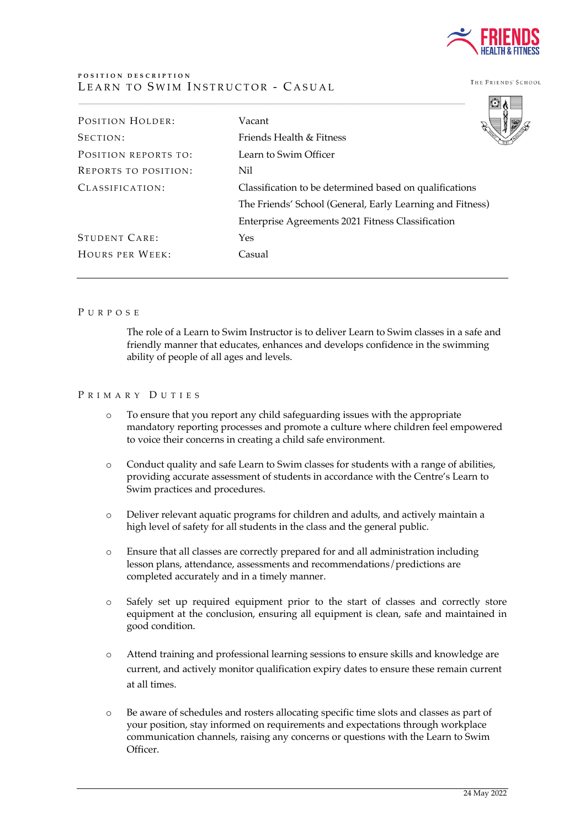

THE FRIENDS' SCHOOL

| POSITION HOLDER:            | Vacant                                                    |
|-----------------------------|-----------------------------------------------------------|
| SECTION:                    | Friends Health & Fitness                                  |
| POSITION REPORTS TO:        | Learn to Swim Officer                                     |
| <b>REPORTS TO POSITION:</b> | Nil                                                       |
| CLASSIFICATION:             | Classification to be determined based on qualifications   |
|                             | The Friends' School (General, Early Learning and Fitness) |
|                             | Enterprise Agreements 2021 Fitness Classification         |
| <b>STUDENT CARE:</b>        | Yes                                                       |
| HOURS PER WEEK:             | Casual                                                    |
|                             |                                                           |

#### PURPOSE

The role of a Learn to Swim Instructor is to deliver Learn to Swim classes in a safe and friendly manner that educates, enhances and develops confidence in the swimming ability of people of all ages and levels.

### P R I M A R Y D II T I E S

- o To ensure that you report any child safeguarding issues with the appropriate mandatory reporting processes and promote a culture where children feel empowered to voice their concerns in creating a child safe environment.
- o Conduct quality and safe Learn to Swim classes for students with a range of abilities, providing accurate assessment of students in accordance with the Centre's Learn to Swim practices and procedures.
- o Deliver relevant aquatic programs for children and adults, and actively maintain a high level of safety for all students in the class and the general public.
- o Ensure that all classes are correctly prepared for and all administration including lesson plans, attendance, assessments and recommendations/predictions are completed accurately and in a timely manner.
- o Safely set up required equipment prior to the start of classes and correctly store equipment at the conclusion, ensuring all equipment is clean, safe and maintained in good condition.
- o Attend training and professional learning sessions to ensure skills and knowledge are current, and actively monitor qualification expiry dates to ensure these remain current at all times.
- o Be aware of schedules and rosters allocating specific time slots and classes as part of your position, stay informed on requirements and expectations through workplace communication channels, raising any concerns or questions with the Learn to Swim Officer.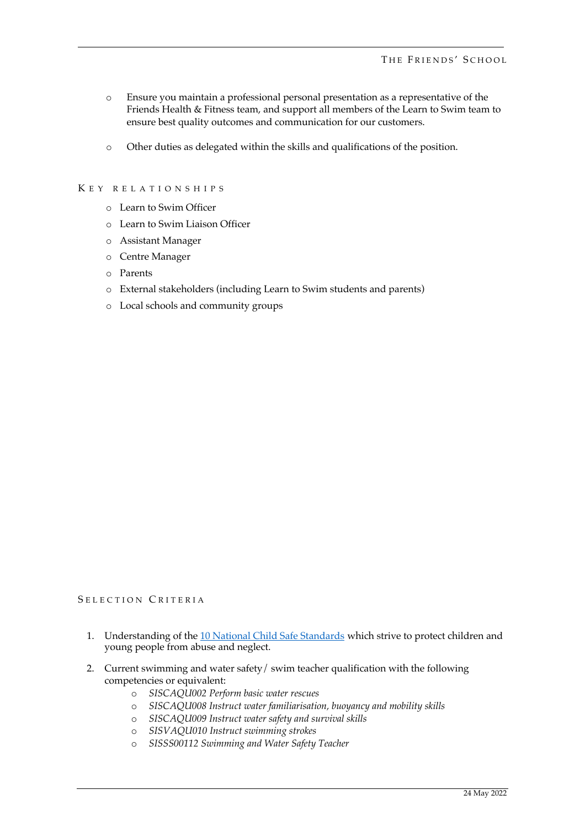- o Ensure you maintain a professional personal presentation as a representative of the Friends Health & Fitness team, and support all members of the Learn to Swim team to ensure best quality outcomes and communication for our customers.
- o Other duties as delegated within the skills and qualifications of the position.

# K E Y RELATIONSHIPS

- o Learn to Swim Officer
- o Learn to Swim Liaison Officer
- o Assistant Manager
- o Centre Manager
- o Parents
- o External stakeholders (including Learn to Swim students and parents)
- o Local schools and community groups

# SELECTION CRITERIA

- 1. Understanding of the 10 National Child Safe Standards which strive to protect children and young people from abuse and neglect.
- 2. Current swimming and water safety/ swim teacher qualification with the following competencies or equivalent:
	- o *SISCAQU002 Perform basic water rescues*
	- o *SISCAQU008 Instruct water familiarisation, buoyancy and mobility skills*
	- o *SISCAQU009 Instruct water safety and survival skills*
	- o *SISVAQU010 Instruct swimming strokes*
	- o *SISSS00112 Swimming and Water Safety Teacher*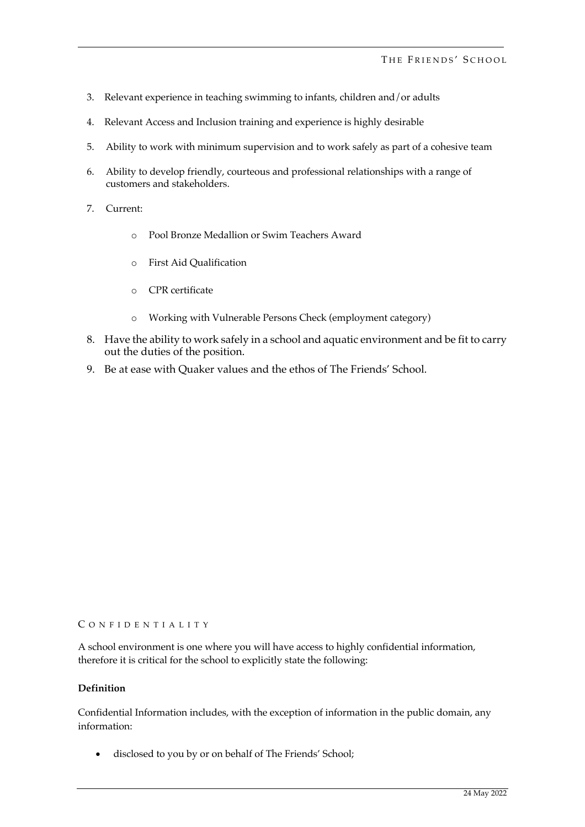- 3. Relevant experience in teaching swimming to infants, children and/or adults
- 4. Relevant Access and Inclusion training and experience is highly desirable
- 5. Ability to work with minimum supervision and to work safely as part of a cohesive team
- 6. Ability to develop friendly, courteous and professional relationships with a range of customers and stakeholders.
- 7. Current:
	- o Pool Bronze Medallion or Swim Teachers Award
	- o First Aid Qualification
	- o CPR certificate
	- o Working with Vulnerable Persons Check (employment category)
- 8. Have the ability to work safely in a school and aquatic environment and be fit to carry out the duties of the position.
- 9. Be at ease with Quaker values and the ethos of The Friends' School.

#### C ONFIDENTIALITY

A school environment is one where you will have access to highly confidential information, therefore it is critical for the school to explicitly state the following:

#### **Definition**

Confidential Information includes, with the exception of information in the public domain, any information:

• disclosed to you by or on behalf of The Friends' School;